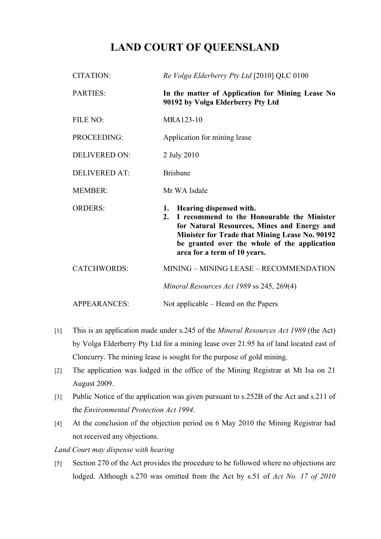## **LAND COURT OF QUEENSLAND**

| <b>CITATION:</b>     | Re Volga Elderberry Pty Ltd [2010] QLC 0100                                                                                                                                                                                                                        |
|----------------------|--------------------------------------------------------------------------------------------------------------------------------------------------------------------------------------------------------------------------------------------------------------------|
| <b>PARTIES:</b>      | In the matter of Application for Mining Lease No<br>90192 by Volga Elderberry Pty Ltd                                                                                                                                                                              |
| FILE NO:             | MRA123-10                                                                                                                                                                                                                                                          |
| PROCEEDING:          | Application for mining lease                                                                                                                                                                                                                                       |
| <b>DELIVERED ON:</b> | 2 July 2010                                                                                                                                                                                                                                                        |
| <b>DELIVERED AT:</b> | <b>Brisbane</b>                                                                                                                                                                                                                                                    |
| <b>MEMBER:</b>       | Mr WA Isdale                                                                                                                                                                                                                                                       |
| <b>ORDERS:</b>       | Hearing dispensed with.<br>1.<br>I recommend to the Honourable the Minister<br>2.<br>for Natural Resources, Mines and Energy and<br>Minister for Trade that Mining Lease No. 90192<br>be granted over the whole of the application<br>area for a term of 10 years. |
| <b>CATCHWORDS:</b>   | MINING - MINING LEASE - RECOMMENDATION                                                                                                                                                                                                                             |
|                      | Mineral Resources Act 1989 ss 245, 269(4)                                                                                                                                                                                                                          |
| <b>APPEARANCES:</b>  | Not applicable – Heard on the Papers                                                                                                                                                                                                                               |

- [1] This is an application made under s.245 of the *Mineral Resources Act 1989* (the Act) by Volga Elderberry Pty Ltd for a mining lease over 21.95 ha of land located east of Cloncurry. The mining lease is sought for the purpose of gold mining.
- [2] The application was lodged in the office of the Mining Registrar at Mt Isa on 21 August 2009.
- [3] Public Notice of the application was given pursuant to s.252B of the Act and s.211 of the *Environmental Protection Act 1994*.
- [4] At the conclusion of the objection period on 6 May 2010 the Mining Registrar had not received any objections.

*Land Court may dispense with hearing*

[5] Section 270 of the Act provides the procedure to be followed where no objections are lodged. Although s.270 was omitted from the Act by s.51 of *Act No. 17 of 2010*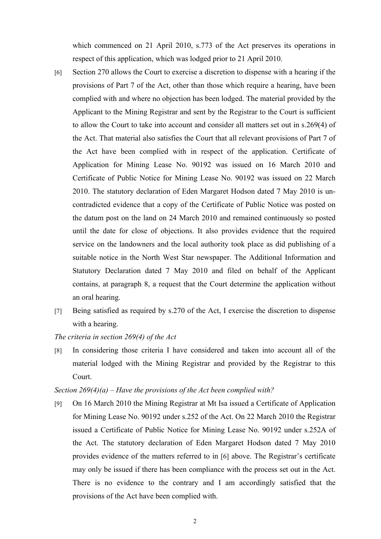which commenced on 21 April 2010, s.773 of the Act preserves its operations in respect of this application, which was lodged prior to 21 April 2010.

- [6] Section 270 allows the Court to exercise a discretion to dispense with a hearing if the provisions of Part 7 of the Act, other than those which require a hearing, have been complied with and where no objection has been lodged. The material provided by the Applicant to the Mining Registrar and sent by the Registrar to the Court is sufficient to allow the Court to take into account and consider all matters set out in s.269(4) of the Act. That material also satisfies the Court that all relevant provisions of Part 7 of the Act have been complied with in respect of the application. Certificate of Application for Mining Lease No. 90192 was issued on 16 March 2010 and Certificate of Public Notice for Mining Lease No. 90192 was issued on 22 March 2010. The statutory declaration of Eden Margaret Hodson dated 7 May 2010 is uncontradicted evidence that a copy of the Certificate of Public Notice was posted on the datum post on the land on 24 March 2010 and remained continuously so posted until the date for close of objections. It also provides evidence that the required service on the landowners and the local authority took place as did publishing of a suitable notice in the North West Star newspaper. The Additional Information and Statutory Declaration dated 7 May 2010 and filed on behalf of the Applicant contains, at paragraph 8, a request that the Court determine the application without an oral hearing.
- [7] Being satisfied as required by s.270 of the Act, I exercise the discretion to dispense with a hearing.

## *The criteria in section 269(4) of the Act*

[8] In considering those criteria I have considered and taken into account all of the material lodged with the Mining Registrar and provided by the Registrar to this Court.

## *Section 269(4)(a) – Have the provisions of the Act been complied with?*

[9] On 16 March 2010 the Mining Registrar at Mt Isa issued a Certificate of Application for Mining Lease No. 90192 under s.252 of the Act. On 22 March 2010 the Registrar issued a Certificate of Public Notice for Mining Lease No. 90192 under s.252A of the Act. The statutory declaration of Eden Margaret Hodson dated 7 May 2010 provides evidence of the matters referred to in [6] above. The Registrar's certificate may only be issued if there has been compliance with the process set out in the Act. There is no evidence to the contrary and I am accordingly satisfied that the provisions of the Act have been complied with.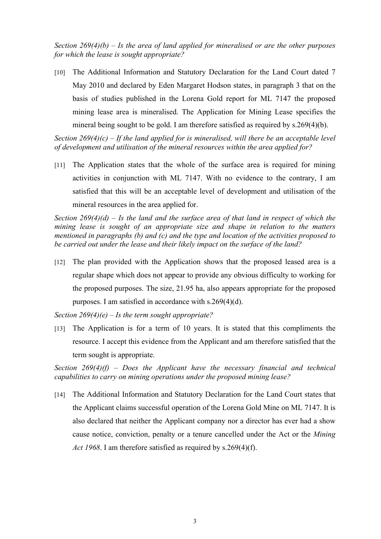*Section 269(4)(b) – Is the area of land applied for mineralised or are the other purposes for which the lease is sought appropriate?*

[10] The Additional Information and Statutory Declaration for the Land Court dated 7 May 2010 and declared by Eden Margaret Hodson states, in paragraph 3 that on the basis of studies published in the Lorena Gold report for ML 7147 the proposed mining lease area is mineralised. The Application for Mining Lease specifies the mineral being sought to be gold. I am therefore satisfied as required by s.269(4)(b).

*Section 269(4)(c) – If the land applied for is mineralised, will there be an acceptable level of development and utilisation of the mineral resources within the area applied for?*

[11] The Application states that the whole of the surface area is required for mining activities in conjunction with ML 7147. With no evidence to the contrary, I am satisfied that this will be an acceptable level of development and utilisation of the mineral resources in the area applied for.

*Section 269(4)(d) – Is the land and the surface area of that land in respect of which the mining lease is sought of an appropriate size and shape in relation to the matters mentioned in paragraphs (b) and (c) and the type and location of the activities proposed to be carried out under the lease and their likely impact on the surface of the land?*

[12] The plan provided with the Application shows that the proposed leased area is a regular shape which does not appear to provide any obvious difficulty to working for the proposed purposes. The size, 21.95 ha, also appears appropriate for the proposed purposes. I am satisfied in accordance with s.269(4)(d).

*Section 269(4)(e) – Is the term sought appropriate?*

[13] The Application is for a term of 10 years. It is stated that this compliments the resource. I accept this evidence from the Applicant and am therefore satisfied that the term sought is appropriate.

*Section 269(4)(f) – Does the Applicant have the necessary financial and technical capabilities to carry on mining operations under the proposed mining lease?*

[14] The Additional Information and Statutory Declaration for the Land Court states that the Applicant claims successful operation of the Lorena Gold Mine on ML 7147. It is also declared that neither the Applicant company nor a director has ever had a show cause notice, conviction, penalty or a tenure cancelled under the Act or the *Mining Act 1968*. I am therefore satisfied as required by s.269(4)(f).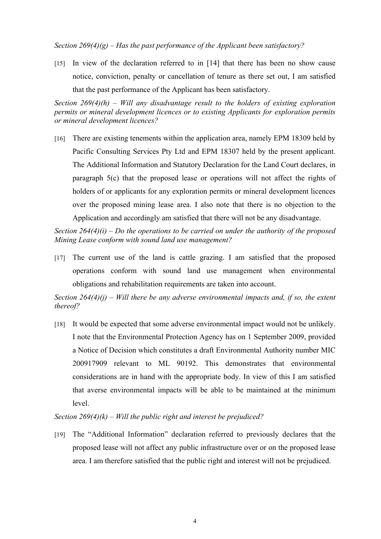*Section 269(4)(g) – Has the past performance of the Applicant been satisfactory?*

[15] In view of the declaration referred to in [14] that there has been no show cause notice, conviction, penalty or cancellation of tenure as there set out, I am satisfied that the past performance of the Applicant has been satisfactory.

*Section 269(4)(h) – Will any disadvantage result to the holders of existing exploration permits or mineral development licences or to existing Applicants for exploration permits or mineral development licences?*

[16] There are existing tenements within the application area, namely EPM 18309 held by Pacific Consulting Services Pty Ltd and EPM 18307 held by the present applicant. The Additional Information and Statutory Declaration for the Land Court declares, in paragraph 5(c) that the proposed lease or operations will not affect the rights of holders of or applicants for any exploration permits or mineral development licences over the proposed mining lease area. I also note that there is no objection to the Application and accordingly am satisfied that there will not be any disadvantage.

*Section 264(4)(i) – Do the operations to be carried on under the authority of the proposed Mining Lease conform with sound land use management?*

[17] The current use of the land is cattle grazing. I am satisfied that the proposed operations conform with sound land use management when environmental obligations and rehabilitation requirements are taken into account.

*Section 264(4)(j) – Will there be any adverse environmental impacts and, if so, the extent thereof?*

[18] It would be expected that some adverse environmental impact would not be unlikely. I note that the Environmental Protection Agency has on 1 September 2009, provided a Notice of Decision which constitutes a draft Environmental Authority number MIC 200917909 relevant to ML 90192. This demonstrates that environmental considerations are in hand with the appropriate body. In view of this I am satisfied that averse environmental impacts will be able to be maintained at the minimum level.

*Section 269(4)(k) – Will the public right and interest be prejudiced?*

[19] The "Additional Information" declaration referred to previously declares that the proposed lease will not affect any public infrastructure over or on the proposed lease area. I am therefore satisfied that the public right and interest will not be prejudiced.